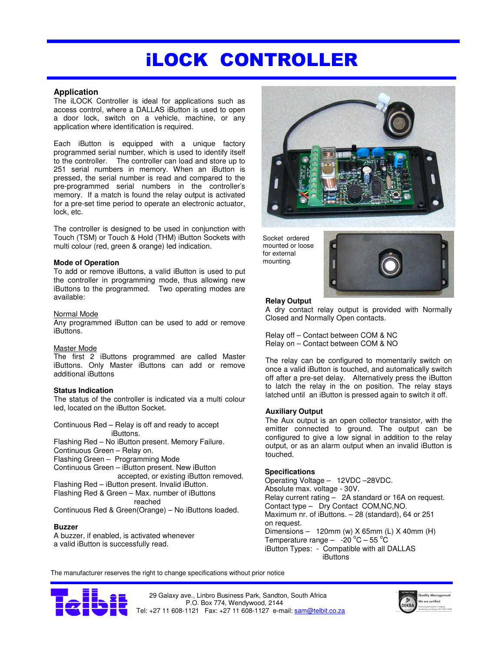# iLOCK CONTROLLER

## **Application**

The iLOCK Controller is ideal for applications such as access control, where a DALLAS iButton is used to open a door lock, switch on a vehicle, machine, or any application where identification is required.

 lock, etc. Each iButton is equipped with a unique factory programmed serial number, which is used to identify itself to the controller. The controller can load and store up to 251 serial numbers in memory. When an iButton is pressed, the serial number is read and compared to the pre-programmed serial numbers in the controller's memory. If a match is found the relay output is activated for a pre-set time period to operate an electronic actuator,

The controller is designed to be used in conjunction with Touch (TSM) or Touch & Hold (THM) iButton Sockets with multi colour (red, green & orange) led indication.

## **Mode of Operation**

To add or remove iButtons, a valid iButton is used to put the controller in programming mode, thus allowing new iButtons to the programmed. Two operating modes are available:

## Normal Mode

Any programmed iButton can be used to add or remove iButtons.

## Master Mode

The first 2 iButtons programmed are called Master iButtons. Only Master iButtons can add or remove additional iButtons

# **Status Indication**

The status of the controller is indicated via a multi colour led, located on the iButton Socket.

Continuous Red – Relay is off and ready to accept iButtons. Flashing Red – No iButton present. Memory Failure. Continuous Green – Relay on. Flashing Green – Programming Mode Continuous Green – iButton present. New iButton accepted, or existing iButton removed. Flashing Red – iButton present. Invalid iButton. Flashing Red & Green – Max. number of iButtons reached Continuous Red & Green(Orange) – No iButtons loaded.

## **Buzzer**

A buzzer, if enabled, is activated whenever a valid iButton is successfully read.



Socket ordered mounted or loose for external mounting.



# **Relay Output**

A dry contact relay output is provided with Normally Closed and Normally Open contacts.

Relay off – Contact between COM & NC Relay on – Contact between COM & NO

The relay can be configured to momentarily switch on once a valid iButton is touched, and automatically switch off after a pre-set delay. Alternatively press the iButton to latch the relay in the on position. The relay stays latched until an iButton is pressed again to switch it off.

## **Auxiliary Output**

The Aux output is an open collector transistor, with the emitter connected to ground. The output can be configured to give a low signal in addition to the relay output, or as an alarm output when an invalid iButton is touched.

## **Specifications**

Operating Voltage – 12VDC –28VDC. Absolute max. voltage - 30V. Relay current rating – 2A standard or 16A on request. Contact type – Dry Contact COM,NC,NO. Maximum nr. of iButtons. – 28 (standard), 64 or 251 on request. Dimensions – 120mm (w) X 65mm (L) X 40mm (H) Temperature range  $-$  -20 °C – 55 °C iButton Types: - Compatible with all DALLAS iButtons

The manufacturer reserves the right to change specifications without prior notice



 29 Galaxy ave., Linbro Business Park, Sandton, South Africa P.O. Box 774, Wendywood, 2144 Tel: +27 11 608-1121 Fax: +27 11 608-1127 e-mail: sam@telbit.co.za